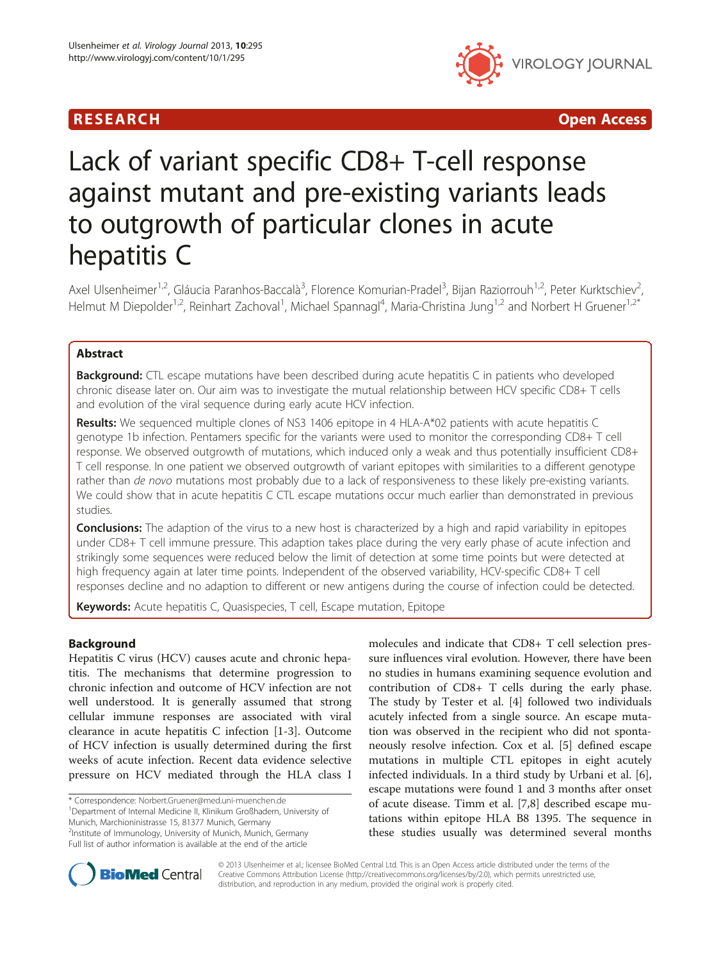



# Lack of variant specific CD8+ T-cell response against mutant and pre-existing variants leads to outgrowth of particular clones in acute hepatitis C

Axel Ulsenheimer<sup>1,2</sup>, Gláucia Paranhos-Baccalà<sup>3</sup>, Florence Komurian-Pradel<sup>3</sup>, Bijan Raziorrouh<sup>1,2</sup>, Peter Kurktschiev<sup>2</sup> , Helmut M Diepolder<sup>1,2</sup>, Reinhart Zachoval<sup>1</sup>, Michael Spannagl<sup>4</sup>, Maria-Christina Jung<sup>1,2</sup> and Norbert H Gruener<sup>1,2\*</sup>

# Abstract

Background: CTL escape mutations have been described during acute hepatitis C in patients who developed chronic disease later on. Our aim was to investigate the mutual relationship between HCV specific CD8+ T cells and evolution of the viral sequence during early acute HCV infection.

Results: We sequenced multiple clones of NS3 1406 epitope in 4 HLA-A\*02 patients with acute hepatitis C genotype 1b infection. Pentamers specific for the variants were used to monitor the corresponding CD8+ T cell response. We observed outgrowth of mutations, which induced only a weak and thus potentially insufficient CD8+ T cell response. In one patient we observed outgrowth of variant epitopes with similarities to a different genotype rather than de novo mutations most probably due to a lack of responsiveness to these likely pre-existing variants. We could show that in acute hepatitis C CTL escape mutations occur much earlier than demonstrated in previous studies.

**Conclusions:** The adaption of the virus to a new host is characterized by a high and rapid variability in epitopes under CD8+ T cell immune pressure. This adaption takes place during the very early phase of acute infection and strikingly some sequences were reduced below the limit of detection at some time points but were detected at high frequency again at later time points. Independent of the observed variability, HCV-specific CD8+ T cell responses decline and no adaption to different or new antigens during the course of infection could be detected.

Keywords: Acute hepatitis C, Quasispecies, T cell, Escape mutation, Epitope

# Background

Hepatitis C virus (HCV) causes acute and chronic hepatitis. The mechanisms that determine progression to chronic infection and outcome of HCV infection are not well understood. It is generally assumed that strong cellular immune responses are associated with viral clearance in acute hepatitis C infection [\[1](#page-8-0)-[3\]](#page-8-0). Outcome of HCV infection is usually determined during the first weeks of acute infection. Recent data evidence selective pressure on HCV mediated through the HLA class I

\* Correspondence: [Norbert.Gruener@med.uni-muenchen.de](mailto:Norbert.Gruener@med.uni-muenchen.de) <sup>1</sup>

Department of Internal Medicine II, Klinikum Großhadern, University of Munich, Marchioninistrasse 15, 81377 Munich, Germany

2 Institute of Immunology, University of Munich, Munich, Germany

Full list of author information is available at the end of the article

molecules and indicate that CD8+ T cell selection pressure influences viral evolution. However, there have been no studies in humans examining sequence evolution and contribution of CD8+ T cells during the early phase. The study by Tester et al. [[4\]](#page-8-0) followed two individuals acutely infected from a single source. An escape mutation was observed in the recipient who did not spontaneously resolve infection. Cox et al. [\[5\]](#page-8-0) defined escape mutations in multiple CTL epitopes in eight acutely infected individuals. In a third study by Urbani et al. [\[6](#page-8-0)], escape mutations were found 1 and 3 months after onset of acute disease. Timm et al. [[7,8\]](#page-8-0) described escape mutations within epitope HLA B8 1395. The sequence in these studies usually was determined several months



© 2013 Ulsenheimer et al.; licensee BioMed Central Ltd. This is an Open Access article distributed under the terms of the Creative Commons Attribution License (<http://creativecommons.org/licenses/by/2.0>), which permits unrestricted use, distribution, and reproduction in any medium, provided the original work is properly cited.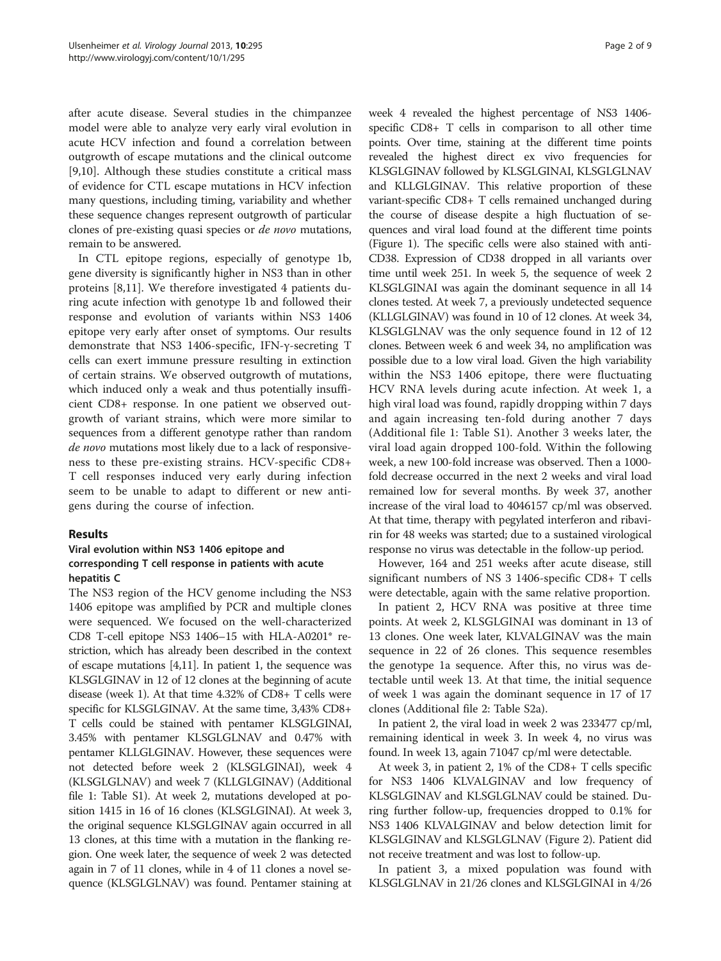after acute disease. Several studies in the chimpanzee model were able to analyze very early viral evolution in acute HCV infection and found a correlation between outgrowth of escape mutations and the clinical outcome [[9,10\]](#page-8-0). Although these studies constitute a critical mass of evidence for CTL escape mutations in HCV infection many questions, including timing, variability and whether these sequence changes represent outgrowth of particular clones of pre-existing quasi species or de novo mutations, remain to be answered.

In CTL epitope regions, especially of genotype 1b, gene diversity is significantly higher in NS3 than in other proteins [[8,11\]](#page-8-0). We therefore investigated 4 patients during acute infection with genotype 1b and followed their response and evolution of variants within NS3 1406 epitope very early after onset of symptoms. Our results demonstrate that NS3 1406-specific, IFN-γ-secreting T cells can exert immune pressure resulting in extinction of certain strains. We observed outgrowth of mutations, which induced only a weak and thus potentially insufficient CD8+ response. In one patient we observed outgrowth of variant strains, which were more similar to sequences from a different genotype rather than random de novo mutations most likely due to a lack of responsiveness to these pre-existing strains. HCV-specific CD8+ T cell responses induced very early during infection seem to be unable to adapt to different or new antigens during the course of infection.

#### Results

# Viral evolution within NS3 1406 epitope and corresponding T cell response in patients with acute hepatitis C

The NS3 region of the HCV genome including the NS3 1406 epitope was amplified by PCR and multiple clones were sequenced. We focused on the well-characterized CD8 T-cell epitope NS3 1406–15 with HLA-A0201\* restriction, which has already been described in the context of escape mutations [\[4,11](#page-8-0)]. In patient 1, the sequence was KLSGLGINAV in 12 of 12 clones at the beginning of acute disease (week 1). At that time 4.32% of CD8+ T cells were specific for KLSGLGINAV. At the same time, 3,43% CD8+ T cells could be stained with pentamer KLSGLGINAI, 3.45% with pentamer KLSGLGLNAV and 0.47% with pentamer KLLGLGINAV. However, these sequences were not detected before week 2 (KLSGLGINAI), week 4 (KLSGLGLNAV) and week 7 (KLLGLGINAV) (Additional file [1](#page-8-0): Table S1). At week 2, mutations developed at position 1415 in 16 of 16 clones (KLSGLGINAI). At week 3, the original sequence KLSGLGINAV again occurred in all 13 clones, at this time with a mutation in the flanking region. One week later, the sequence of week 2 was detected again in 7 of 11 clones, while in 4 of 11 clones a novel sequence (KLSGLGLNAV) was found. Pentamer staining at

week 4 revealed the highest percentage of NS3 1406 specific CD8+ T cells in comparison to all other time points. Over time, staining at the different time points revealed the highest direct ex vivo frequencies for KLSGLGINAV followed by KLSGLGINAI, KLSGLGLNAV and KLLGLGINAV. This relative proportion of these variant-specific CD8+ T cells remained unchanged during the course of disease despite a high fluctuation of sequences and viral load found at the different time points (Figure [1](#page-2-0)). The specific cells were also stained with anti-CD38. Expression of CD38 dropped in all variants over time until week 251. In week 5, the sequence of week 2 KLSGLGINAI was again the dominant sequence in all 14 clones tested. At week 7, a previously undetected sequence (KLLGLGINAV) was found in 10 of 12 clones. At week 34, KLSGLGLNAV was the only sequence found in 12 of 12 clones. Between week 6 and week 34, no amplification was possible due to a low viral load. Given the high variability within the NS3 1406 epitope, there were fluctuating HCV RNA levels during acute infection. At week 1, a high viral load was found, rapidly dropping within 7 days and again increasing ten-fold during another 7 days (Additional file [1:](#page-8-0) Table S1). Another 3 weeks later, the viral load again dropped 100-fold. Within the following week, a new 100-fold increase was observed. Then a 1000 fold decrease occurred in the next 2 weeks and viral load remained low for several months. By week 37, another increase of the viral load to 4046157 cp/ml was observed. At that time, therapy with pegylated interferon and ribavirin for 48 weeks was started; due to a sustained virological response no virus was detectable in the follow-up period.

However, 164 and 251 weeks after acute disease, still significant numbers of NS 3 1406-specific CD8+ T cells were detectable, again with the same relative proportion.

In patient 2, HCV RNA was positive at three time points. At week 2, KLSGLGINAI was dominant in 13 of 13 clones. One week later, KLVALGINAV was the main sequence in 22 of 26 clones. This sequence resembles the genotype 1a sequence. After this, no virus was detectable until week 13. At that time, the initial sequence of week 1 was again the dominant sequence in 17 of 17 clones (Additional file [2:](#page-8-0) Table S2a).

In patient 2, the viral load in week 2 was 233477 cp/ml, remaining identical in week 3. In week 4, no virus was found. In week 13, again 71047 cp/ml were detectable.

At week 3, in patient 2, 1% of the CD8+ T cells specific for NS3 1406 KLVALGINAV and low frequency of KLSGLGINAV and KLSGLGLNAV could be stained. During further follow-up, frequencies dropped to 0.1% for NS3 1406 KLVALGINAV and below detection limit for KLSGLGINAV and KLSGLGLNAV (Figure [2\)](#page-2-0). Patient did not receive treatment and was lost to follow-up.

In patient 3, a mixed population was found with KLSGLGLNAV in 21/26 clones and KLSGLGINAI in 4/26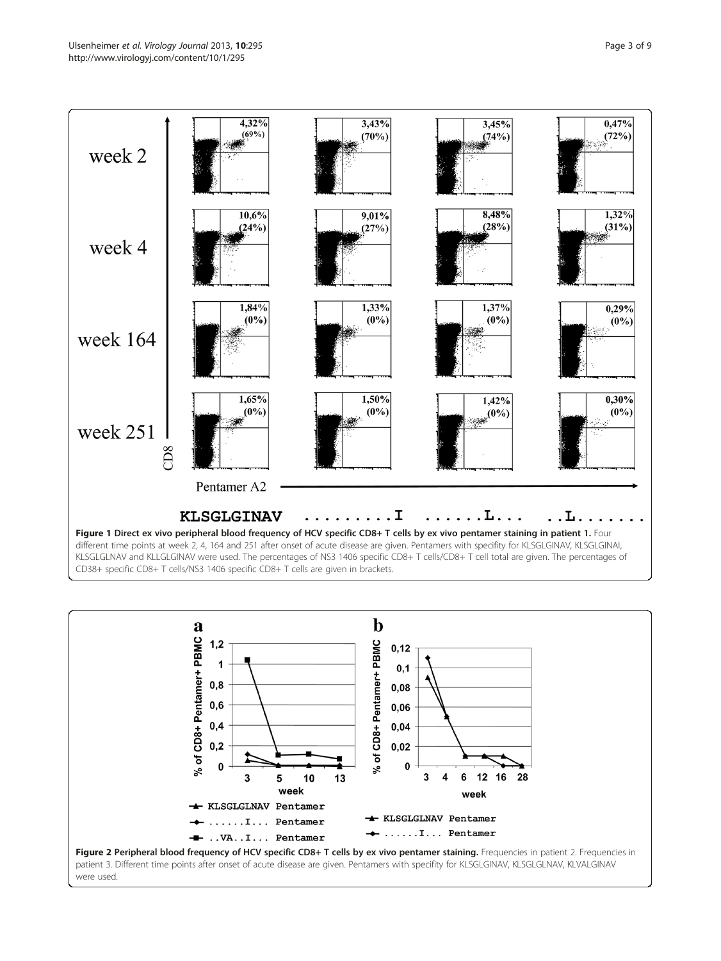<span id="page-2-0"></span>



were used.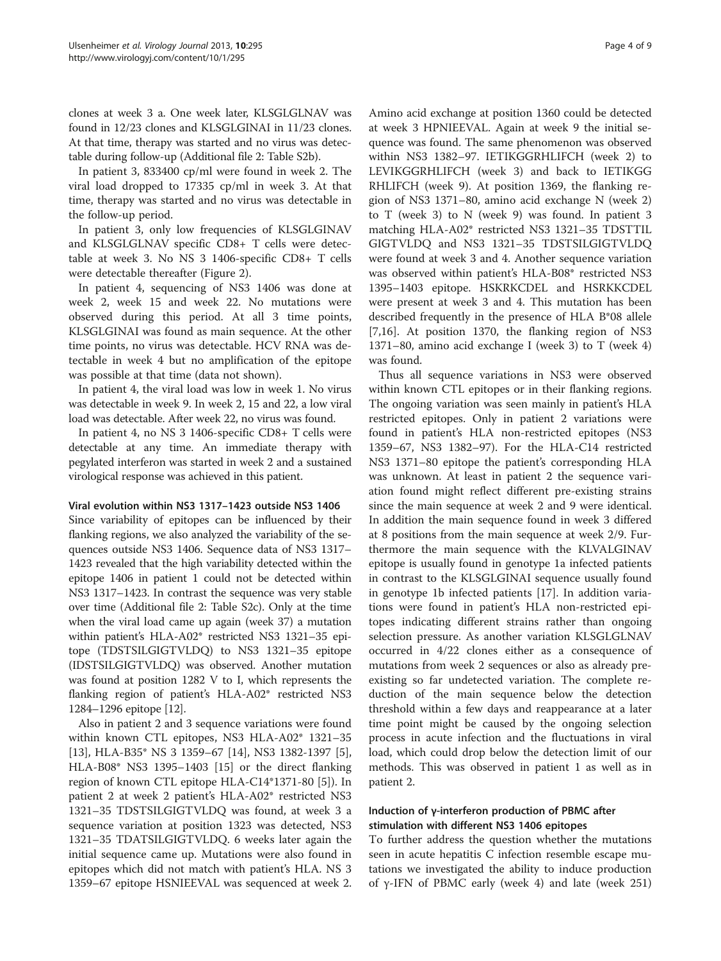clones at week 3 a. One week later, KLSGLGLNAV was found in 12/23 clones and KLSGLGINAI in 11/23 clones. At that time, therapy was started and no virus was detectable during follow-up (Additional file [2](#page-8-0): Table S2b).

In patient 3, 833400 cp/ml were found in week 2. The viral load dropped to 17335 cp/ml in week 3. At that time, therapy was started and no virus was detectable in the follow-up period.

In patient 3, only low frequencies of KLSGLGINAV and KLSGLGLNAV specific CD8+ T cells were detectable at week 3. No NS 3 1406-specific CD8+ T cells were detectable thereafter (Figure [2](#page-2-0)).

In patient 4, sequencing of NS3 1406 was done at week 2, week 15 and week 22. No mutations were observed during this period. At all 3 time points, KLSGLGINAI was found as main sequence. At the other time points, no virus was detectable. HCV RNA was detectable in week 4 but no amplification of the epitope was possible at that time (data not shown).

In patient 4, the viral load was low in week 1. No virus was detectable in week 9. In week 2, 15 and 22, a low viral load was detectable. After week 22, no virus was found.

In patient 4, no NS 3 1406-specific CD8+ T cells were detectable at any time. An immediate therapy with pegylated interferon was started in week 2 and a sustained virological response was achieved in this patient.

#### Viral evolution within NS3 1317–1423 outside NS3 1406

Since variability of epitopes can be influenced by their flanking regions, we also analyzed the variability of the sequences outside NS3 1406. Sequence data of NS3 1317– 1423 revealed that the high variability detected within the epitope 1406 in patient 1 could not be detected within NS3 1317–1423. In contrast the sequence was very stable over time (Additional file [2](#page-8-0): Table S2c). Only at the time when the viral load came up again (week 37) a mutation within patient's HLA-A02\* restricted NS3 1321–35 epitope (TDSTSILGIGTVLDQ) to NS3 1321–35 epitope (IDSTSILGIGTVLDQ) was observed. Another mutation was found at position 1282 V to I, which represents the flanking region of patient's HLA-A02\* restricted NS3 1284–1296 epitope [[12\]](#page-8-0).

Also in patient 2 and 3 sequence variations were found within known CTL epitopes, NS3 HLA-A02\* 1321–35 [[13\]](#page-8-0), HLA-B35\* NS 3 1359–67 [\[14](#page-8-0)], NS3 1382-1397 [\[5](#page-8-0)], HLA-B08\* NS3 1395–1403 [\[15](#page-8-0)] or the direct flanking region of known CTL epitope HLA-C14\*1371-80 [\[5](#page-8-0)]). In patient 2 at week 2 patient's HLA-A02\* restricted NS3 1321–35 TDSTSILGIGTVLDQ was found, at week 3 a sequence variation at position 1323 was detected, NS3 1321–35 TDATSILGIGTVLDQ. 6 weeks later again the initial sequence came up. Mutations were also found in epitopes which did not match with patient's HLA. NS 3 1359–67 epitope HSNIEEVAL was sequenced at week 2.

Amino acid exchange at position 1360 could be detected at week 3 HPNIEEVAL. Again at week 9 the initial sequence was found. The same phenomenon was observed within NS3 1382–97. IETIKGGRHLIFCH (week 2) to LEVIKGGRHLIFCH (week 3) and back to IETIKGG RHLIFCH (week 9). At position 1369, the flanking region of NS3 1371–80, amino acid exchange N (week 2) to T (week 3) to N (week 9) was found. In patient 3 matching HLA-A02\* restricted NS3 1321–35 TDSTTIL GIGTVLDQ and NS3 1321–35 TDSTSILGIGTVLDQ were found at week 3 and 4. Another sequence variation was observed within patient's HLA-B08\* restricted NS3 1395–1403 epitope. HSKRKCDEL and HSRKKCDEL were present at week 3 and 4. This mutation has been described frequently in the presence of HLA B\*08 allele [[7,16\]](#page-8-0). At position 1370, the flanking region of NS3 1371–80, amino acid exchange I (week 3) to T (week 4) was found.

Thus all sequence variations in NS3 were observed within known CTL epitopes or in their flanking regions. The ongoing variation was seen mainly in patient's HLA restricted epitopes. Only in patient 2 variations were found in patient's HLA non-restricted epitopes (NS3 1359–67, NS3 1382–97). For the HLA-C14 restricted NS3 1371–80 epitope the patient's corresponding HLA was unknown. At least in patient 2 the sequence variation found might reflect different pre-existing strains since the main sequence at week 2 and 9 were identical. In addition the main sequence found in week 3 differed at 8 positions from the main sequence at week 2/9. Furthermore the main sequence with the KLVALGINAV epitope is usually found in genotype 1a infected patients in contrast to the KLSGLGINAI sequence usually found in genotype 1b infected patients [[17](#page-8-0)]. In addition variations were found in patient's HLA non-restricted epitopes indicating different strains rather than ongoing selection pressure. As another variation KLSGLGLNAV occurred in 4/22 clones either as a consequence of mutations from week 2 sequences or also as already preexisting so far undetected variation. The complete reduction of the main sequence below the detection threshold within a few days and reappearance at a later time point might be caused by the ongoing selection process in acute infection and the fluctuations in viral load, which could drop below the detection limit of our methods. This was observed in patient 1 as well as in patient 2.

# Induction of γ-interferon production of PBMC after stimulation with different NS3 1406 epitopes

To further address the question whether the mutations seen in acute hepatitis C infection resemble escape mutations we investigated the ability to induce production of γ-IFN of PBMC early (week 4) and late (week 251)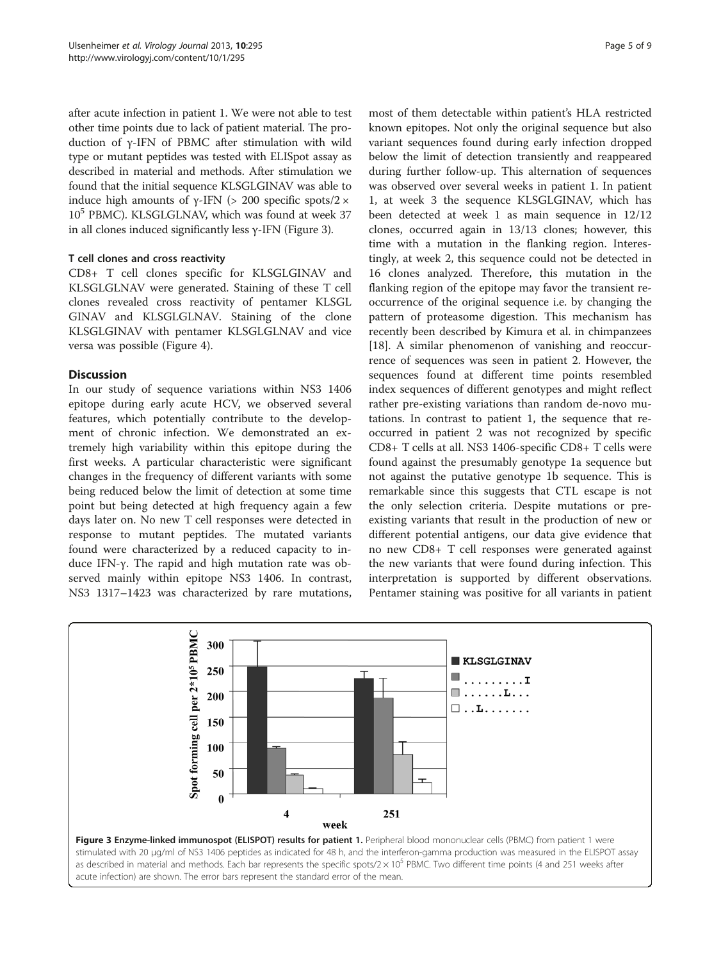after acute infection in patient 1. We were not able to test other time points due to lack of patient material. The production of γ-IFN of PBMC after stimulation with wild type or mutant peptides was tested with ELISpot assay as described in material and methods. After stimulation we found that the initial sequence KLSGLGINAV was able to induce high amounts of γ-IFN (> 200 specific spots/2  $\times$  $10<sup>5</sup>$  PBMC). KLSGLGLNAV, which was found at week 37 in all clones induced significantly less γ-IFN (Figure 3).

## T cell clones and cross reactivity

CD8+ T cell clones specific for KLSGLGINAV and KLSGLGLNAV were generated. Staining of these T cell clones revealed cross reactivity of pentamer KLSGL GINAV and KLSGLGLNAV. Staining of the clone KLSGLGINAV with pentamer KLSGLGLNAV and vice versa was possible (Figure [4\)](#page-5-0).

## **Discussion**

In our study of sequence variations within NS3 1406 epitope during early acute HCV, we observed several features, which potentially contribute to the development of chronic infection. We demonstrated an extremely high variability within this epitope during the first weeks. A particular characteristic were significant changes in the frequency of different variants with some being reduced below the limit of detection at some time point but being detected at high frequency again a few days later on. No new T cell responses were detected in response to mutant peptides. The mutated variants found were characterized by a reduced capacity to induce IFN-γ. The rapid and high mutation rate was observed mainly within epitope NS3 1406. In contrast, NS3 1317–1423 was characterized by rare mutations,

most of them detectable within patient's HLA restricted known epitopes. Not only the original sequence but also variant sequences found during early infection dropped below the limit of detection transiently and reappeared during further follow-up. This alternation of sequences was observed over several weeks in patient 1. In patient 1, at week 3 the sequence KLSGLGINAV, which has been detected at week 1 as main sequence in 12/12 clones, occurred again in 13/13 clones; however, this time with a mutation in the flanking region. Interestingly, at week 2, this sequence could not be detected in 16 clones analyzed. Therefore, this mutation in the flanking region of the epitope may favor the transient reoccurrence of the original sequence i.e. by changing the pattern of proteasome digestion. This mechanism has recently been described by Kimura et al. in chimpanzees [[18\]](#page-8-0). A similar phenomenon of vanishing and reoccurrence of sequences was seen in patient 2. However, the sequences found at different time points resembled index sequences of different genotypes and might reflect rather pre-existing variations than random de-novo mutations. In contrast to patient 1, the sequence that reoccurred in patient 2 was not recognized by specific CD8+ T cells at all. NS3 1406-specific CD8+ T cells were found against the presumably genotype 1a sequence but not against the putative genotype 1b sequence. This is remarkable since this suggests that CTL escape is not the only selection criteria. Despite mutations or preexisting variants that result in the production of new or different potential antigens, our data give evidence that no new CD8+ T cell responses were generated against the new variants that were found during infection. This interpretation is supported by different observations. Pentamer staining was positive for all variants in patient



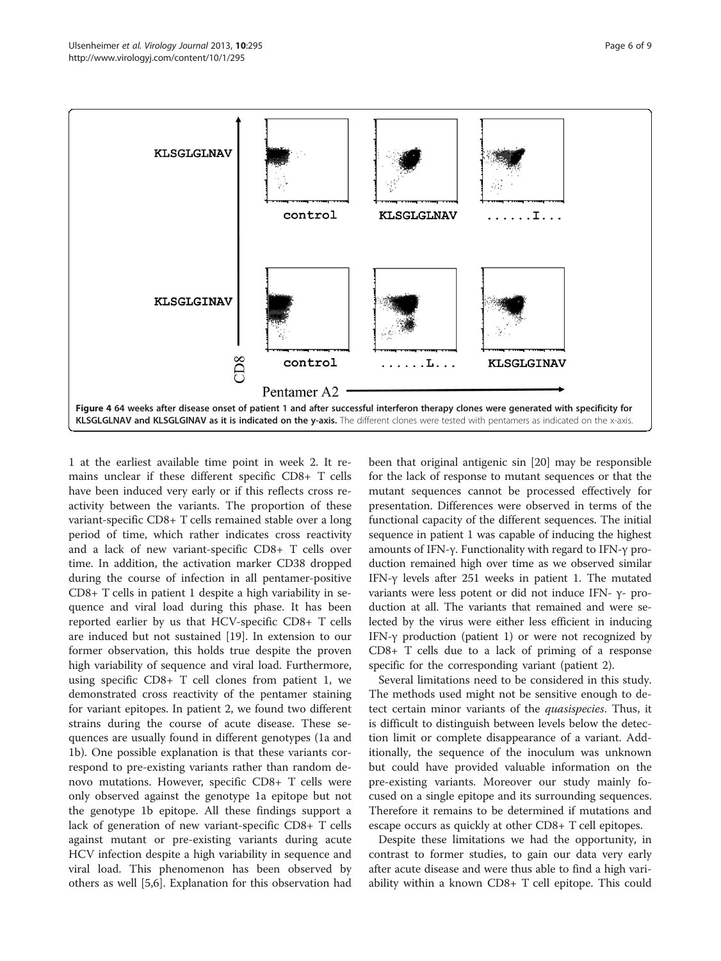<span id="page-5-0"></span>

1 at the earliest available time point in week 2. It remains unclear if these different specific CD8+ T cells have been induced very early or if this reflects cross reactivity between the variants. The proportion of these variant-specific CD8+ T cells remained stable over a long period of time, which rather indicates cross reactivity and a lack of new variant-specific CD8+ T cells over time. In addition, the activation marker CD38 dropped during the course of infection in all pentamer-positive CD8+ T cells in patient 1 despite a high variability in sequence and viral load during this phase. It has been reported earlier by us that HCV-specific CD8+ T cells are induced but not sustained [[19\]](#page-8-0). In extension to our former observation, this holds true despite the proven high variability of sequence and viral load. Furthermore, using specific CD8+ T cell clones from patient 1, we demonstrated cross reactivity of the pentamer staining for variant epitopes. In patient 2, we found two different strains during the course of acute disease. These sequences are usually found in different genotypes (1a and 1b). One possible explanation is that these variants correspond to pre-existing variants rather than random denovo mutations. However, specific CD8+ T cells were only observed against the genotype 1a epitope but not the genotype 1b epitope. All these findings support a lack of generation of new variant-specific CD8+ T cells against mutant or pre-existing variants during acute HCV infection despite a high variability in sequence and viral load. This phenomenon has been observed by others as well [[5,6\]](#page-8-0). Explanation for this observation had been that original antigenic sin [[20\]](#page-8-0) may be responsible for the lack of response to mutant sequences or that the mutant sequences cannot be processed effectively for presentation. Differences were observed in terms of the functional capacity of the different sequences. The initial sequence in patient 1 was capable of inducing the highest amounts of IFN-γ. Functionality with regard to IFN-γ production remained high over time as we observed similar IFN-γ levels after 251 weeks in patient 1. The mutated variants were less potent or did not induce IFN- γ- production at all. The variants that remained and were selected by the virus were either less efficient in inducing IFN-γ production (patient 1) or were not recognized by CD8+ T cells due to a lack of priming of a response specific for the corresponding variant (patient 2).

Several limitations need to be considered in this study. The methods used might not be sensitive enough to detect certain minor variants of the *quasispecies*. Thus, it is difficult to distinguish between levels below the detection limit or complete disappearance of a variant. Additionally, the sequence of the inoculum was unknown but could have provided valuable information on the pre-existing variants. Moreover our study mainly focused on a single epitope and its surrounding sequences. Therefore it remains to be determined if mutations and escape occurs as quickly at other CD8+ T cell epitopes.

Despite these limitations we had the opportunity, in contrast to former studies, to gain our data very early after acute disease and were thus able to find a high variability within a known CD8+ T cell epitope. This could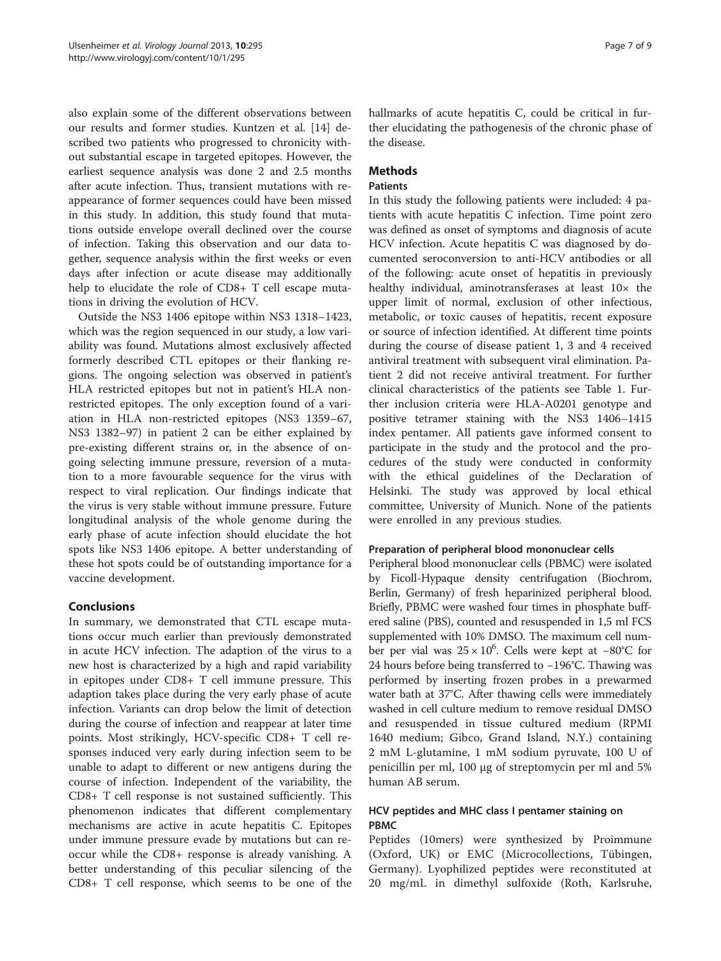also explain some of the different observations between our results and former studies. Kuntzen et al. [\[14\]](#page-8-0) described two patients who progressed to chronicity without substantial escape in targeted epitopes. However, the earliest sequence analysis was done 2 and 2.5 months after acute infection. Thus, transient mutations with reappearance of former sequences could have been missed in this study. In addition, this study found that mutations outside envelope overall declined over the course of infection. Taking this observation and our data together, sequence analysis within the first weeks or even days after infection or acute disease may additionally help to elucidate the role of CD8+ T cell escape mutations in driving the evolution of HCV.

Outside the NS3 1406 epitope within NS3 1318–1423, which was the region sequenced in our study, a low variability was found. Mutations almost exclusively affected formerly described CTL epitopes or their flanking regions. The ongoing selection was observed in patient's HLA restricted epitopes but not in patient's HLA nonrestricted epitopes. The only exception found of a variation in HLA non-restricted epitopes (NS3 1359–67, NS3 1382–97) in patient 2 can be either explained by pre-existing different strains or, in the absence of ongoing selecting immune pressure, reversion of a mutation to a more favourable sequence for the virus with respect to viral replication. Our findings indicate that the virus is very stable without immune pressure. Future longitudinal analysis of the whole genome during the early phase of acute infection should elucidate the hot spots like NS3 1406 epitope. A better understanding of these hot spots could be of outstanding importance for a vaccine development.

## Conclusions

In summary, we demonstrated that CTL escape mutations occur much earlier than previously demonstrated in acute HCV infection. The adaption of the virus to a new host is characterized by a high and rapid variability in epitopes under CD8+ T cell immune pressure. This adaption takes place during the very early phase of acute infection. Variants can drop below the limit of detection during the course of infection and reappear at later time points. Most strikingly, HCV-specific CD8+ T cell responses induced very early during infection seem to be unable to adapt to different or new antigens during the course of infection. Independent of the variability, the CD8+ T cell response is not sustained sufficiently. This phenomenon indicates that different complementary mechanisms are active in acute hepatitis C. Epitopes under immune pressure evade by mutations but can reoccur while the CD8+ response is already vanishing. A better understanding of this peculiar silencing of the CD8+ T cell response, which seems to be one of the hallmarks of acute hepatitis C, could be critical in further elucidating the pathogenesis of the chronic phase of the disease.

# **Methods**

## Patients

In this study the following patients were included: 4 patients with acute hepatitis C infection. Time point zero was defined as onset of symptoms and diagnosis of acute HCV infection. Acute hepatitis C was diagnosed by documented seroconversion to anti-HCV antibodies or all of the following: acute onset of hepatitis in previously healthy individual, aminotransferases at least  $10\times$  the upper limit of normal, exclusion of other infectious, metabolic, or toxic causes of hepatitis, recent exposure or source of infection identified. At different time points during the course of disease patient 1, 3 and 4 received antiviral treatment with subsequent viral elimination. Patient 2 did not receive antiviral treatment. For further clinical characteristics of the patients see Table [1.](#page-7-0) Further inclusion criteria were HLA-A0201 genotype and positive tetramer staining with the NS3 1406–1415 index pentamer. All patients gave informed consent to participate in the study and the protocol and the procedures of the study were conducted in conformity with the ethical guidelines of the Declaration of Helsinki. The study was approved by local ethical committee, University of Munich. None of the patients were enrolled in any previous studies.

## Preparation of peripheral blood mononuclear cells

Peripheral blood mononuclear cells (PBMC) were isolated by Ficoll-Hypaque density centrifugation (Biochrom, Berlin, Germany) of fresh heparinized peripheral blood. Briefly, PBMC were washed four times in phosphate buffered saline (PBS), counted and resuspended in 1,5 ml FCS supplemented with 10% DMSO. The maximum cell number per vial was 25 × 10<sup>6</sup>. Cells were kept at −80°C for 24 hours before being transferred to −196°C. Thawing was performed by inserting frozen probes in a prewarmed water bath at 37°C. After thawing cells were immediately washed in cell culture medium to remove residual DMSO and resuspended in tissue cultured medium (RPMI 1640 medium; Gibco, Grand Island, N.Y.) containing 2 mM L-glutamine, 1 mM sodium pyruvate, 100 U of penicillin per ml, 100 μg of streptomycin per ml and 5% human AB serum.

# HCV peptides and MHC class I pentamer staining on PBMC

Peptides (10mers) were synthesized by Proimmune (Oxford, UK) or EMC (Microcollections, Tübingen, Germany). Lyophilized peptides were reconstituted at 20 mg/mL in dimethyl sulfoxide (Roth, Karlsruhe,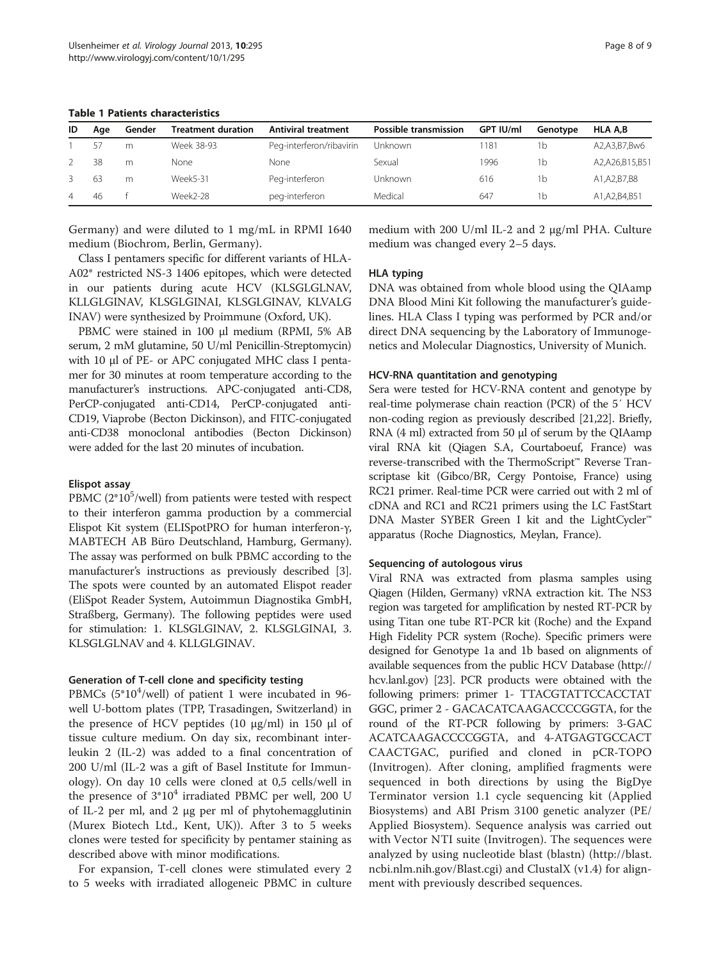| ID | Aae | Gender | <b>Treatment duration</b> | <b>Antiviral treatment</b> | Possible transmission | GPT IU/ml | Genotype | <b>HLA A.B</b>  |
|----|-----|--------|---------------------------|----------------------------|-----------------------|-----------|----------|-----------------|
|    | 57  | m      | Week 38-93                | Peg-interferon/ribavirin   | <b>Unknown</b>        | 181       | Ib       | A2,A3,B7,Bw6    |
|    | 38  | m      | None                      | None                       | Sexual                | 1996      | ۱b       | A2,A26,B15,B51  |
|    | 63  | m      | Week5-31                  | Peg-interferon             | Unknown               | 616       | Ib       | A1,A2,B7,B8     |
| 4  | 46  |        | Week2-28                  | peg-interferon             | Medical               | 647       | Ib       | A1, A2, B4, B51 |

<span id="page-7-0"></span>Table 1 Patients characteristics

Germany) and were diluted to 1 mg/mL in RPMI 1640 medium (Biochrom, Berlin, Germany).

medium with 200 U/ml IL-2 and 2 μg/ml PHA. Culture medium was changed every 2–5 days.

Class I pentamers specific for different variants of HLA-A02\* restricted NS-3 1406 epitopes, which were detected in our patients during acute HCV (KLSGLGLNAV, KLLGLGINAV, KLSGLGINAI, KLSGLGINAV, KLVALG INAV) were synthesized by Proimmune (Oxford, UK).

PBMC were stained in 100 μl medium (RPMI, 5% AB serum, 2 mM glutamine, 50 U/ml Penicillin-Streptomycin) with 10 μl of PE- or APC conjugated MHC class I pentamer for 30 minutes at room temperature according to the manufacturer's instructions. APC-conjugated anti-CD8, PerCP-conjugated anti-CD14, PerCP-conjugated anti-CD19, Viaprobe (Becton Dickinson), and FITC-conjugated anti-CD38 monoclonal antibodies (Becton Dickinson) were added for the last 20 minutes of incubation.

#### Elispot assay

PBMC ( $2*10<sup>5</sup>/well$ ) from patients were tested with respect to their interferon gamma production by a commercial Elispot Kit system (ELISpotPRO for human interferon-γ, MABTECH AB Büro Deutschland, Hamburg, Germany). The assay was performed on bulk PBMC according to the manufacturer's instructions as previously described [[3](#page-8-0)]. The spots were counted by an automated Elispot reader (EliSpot Reader System, Autoimmun Diagnostika GmbH, Straßberg, Germany). The following peptides were used for stimulation: 1. KLSGLGINAV, 2. KLSGLGINAI, 3. KLSGLGLNAV and 4. KLLGLGINAV.

## Generation of T-cell clone and specificity testing

PBMCs (5\*10<sup>4</sup>/well) of patient 1 were incubated in 96well U-bottom plates (TPP, Trasadingen, Switzerland) in the presence of HCV peptides (10 μg/ml) in 150 μl of tissue culture medium. On day six, recombinant interleukin 2 (IL-2) was added to a final concentration of 200 U/ml (IL-2 was a gift of Basel Institute for Immunology). On day 10 cells were cloned at 0,5 cells/well in the presence of  $3*10^4$  irradiated PBMC per well, 200 U of IL-2 per ml, and 2 μg per ml of phytohemagglutinin (Murex Biotech Ltd., Kent, UK)). After 3 to 5 weeks clones were tested for specificity by pentamer staining as described above with minor modifications.

For expansion, T-cell clones were stimulated every 2 to 5 weeks with irradiated allogeneic PBMC in culture

#### HLA typing

DNA was obtained from whole blood using the QIAamp DNA Blood Mini Kit following the manufacturer's guidelines. HLA Class I typing was performed by PCR and/or direct DNA sequencing by the Laboratory of Immunogenetics and Molecular Diagnostics, University of Munich.

#### HCV-RNA quantitation and genotyping

Sera were tested for HCV-RNA content and genotype by real-time polymerase chain reaction (PCR) of the 5′ HCV non-coding region as previously described [[21,22\]](#page-8-0). Briefly, RNA (4 ml) extracted from 50 μl of serum by the QIAamp viral RNA kit (Qiagen S.A, Courtaboeuf, France) was reverse-transcribed with the ThermoScript™ Reverse Transcriptase kit (Gibco/BR, Cergy Pontoise, France) using RC21 primer. Real-time PCR were carried out with 2 ml of cDNA and RC1 and RC21 primers using the LC FastStart DNA Master SYBER Green I kit and the LightCycler™ apparatus (Roche Diagnostics, Meylan, France).

## Sequencing of autologous virus

Viral RNA was extracted from plasma samples using Qiagen (Hilden, Germany) vRNA extraction kit. The NS3 region was targeted for amplification by nested RT-PCR by using Titan one tube RT-PCR kit (Roche) and the Expand High Fidelity PCR system (Roche). Specific primers were designed for Genotype 1a and 1b based on alignments of available sequences from the public HCV Database [\(http://](http://hcv.lanl.gov) [hcv.lanl.gov\)](http://hcv.lanl.gov) [\[23\]](#page-8-0). PCR products were obtained with the following primers: primer 1- TTACGTATTCCACCTAT GGC, primer 2 - GACACATCAAGACCCCGGTA, for the round of the RT-PCR following by primers: 3-GAC ACATCAAGACCCCGGTA, and 4-ATGAGTGCCACT CAACTGAC, purified and cloned in pCR-TOPO (Invitrogen). After cloning, amplified fragments were sequenced in both directions by using the BigDye Terminator version 1.1 cycle sequencing kit (Applied Biosystems) and ABI Prism 3100 genetic analyzer (PE/ Applied Biosystem). Sequence analysis was carried out with Vector NTI suite (Invitrogen). The sequences were analyzed by using nucleotide blast (blastn) ([http://blast.](http://blast.ncbi.nlm.nih.gov/Blast.cgi) [ncbi.nlm.nih.gov/Blast.cgi\)](http://blast.ncbi.nlm.nih.gov/Blast.cgi) and ClustalX (v1.4) for alignment with previously described sequences.